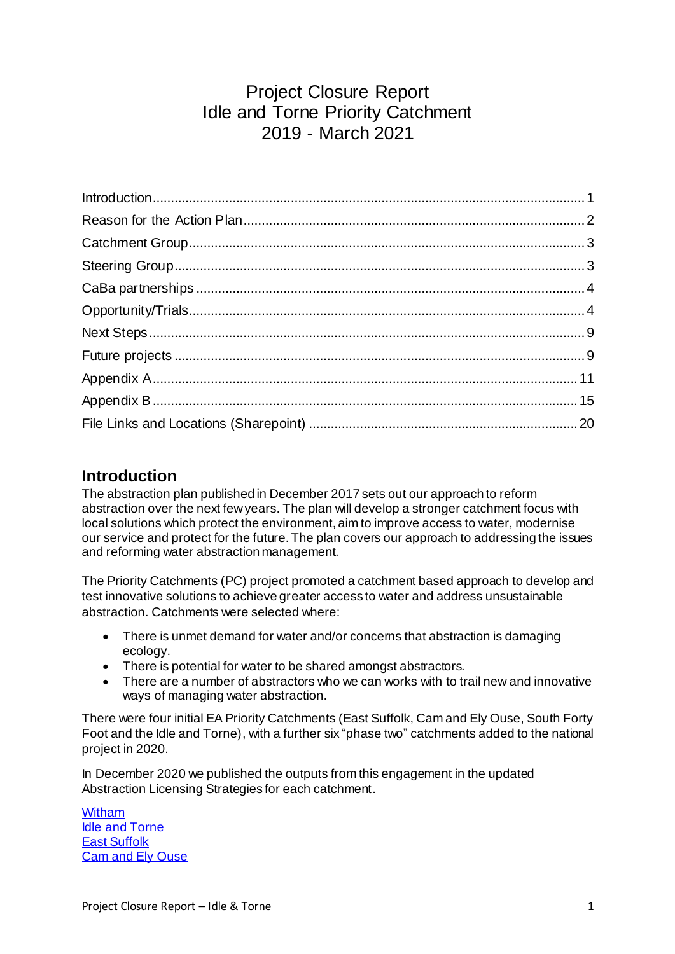## Project Closure Report Idle and Torne Priority Catchment 2019 - March 2021

#### <span id="page-0-0"></span>**Introduction**

The abstraction plan published in December 2017 sets out our approach to reform abstraction over the next few years. The plan will develop a stronger catchment focus with local solutions which protect the environment, aim to improve access to water, modernise our service and protect for the future. The plan covers our approach to addressing the issues and reforming water abstraction management.

The Priority Catchments (PC) project promoted a catchment based approach to develop and test innovative solutions to achieve greater access to water and address unsustainable abstraction. Catchments were selected where:

- There is unmet demand for water and/or concerns that abstraction is damaging ecology.
- There is potential for water to be shared amongst abstractors.
- There are a number of abstractors who we can works with to trail new and innovative ways of managing water abstraction.

There were four initial EA Priority Catchments (East Suffolk, Cam and Ely Ouse, South Forty Foot and the Idle and Torne), with a further six "phase two" catchments added to the national project in 2020.

In December 2020 we published the outputs from this engagement in the updated Abstraction Licensing Strategies for each catchment.

[Witham](https://www.gov.uk/government/publications/witham-abstraction-licensing-strategy) [Idle and Torne](https://www.gov.uk/government/publications/idle-and-torne-abstraction-licensing-strategy) [East Suffolk](https://www.gov.uk/government/publications/east-suffolk-abstraction-licensing-strategy/) [Cam and Ely Ouse](https://www.gov.uk/government/publications/cam-and-ely-ouse-abstraction-licensing-strategy)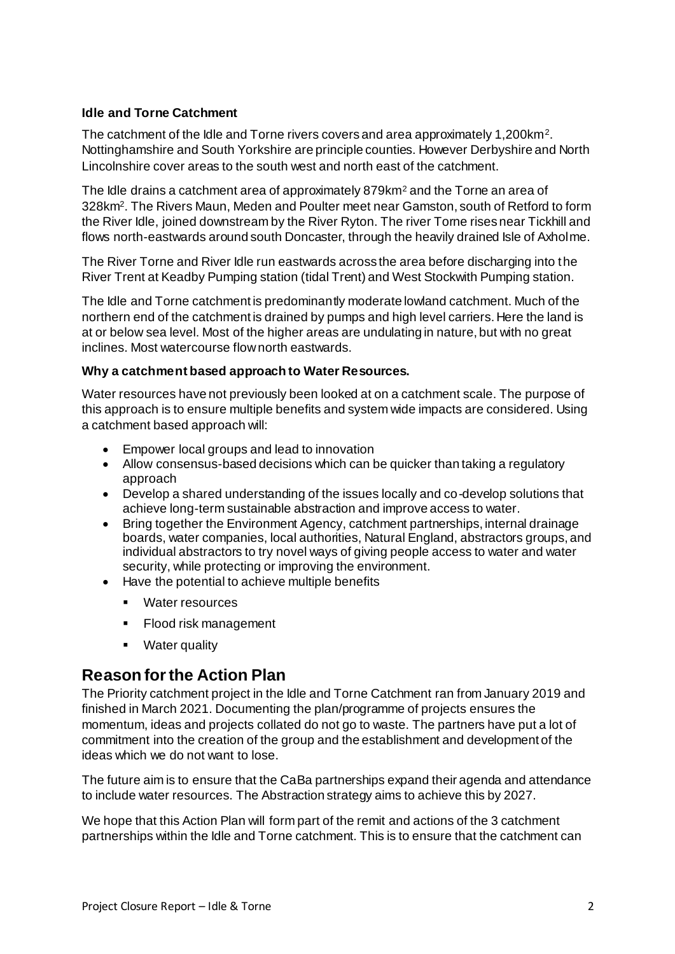#### **Idle and Torne Catchment**

The catchment of the Idle and Torne rivers covers and area approximately 1,200km<sup>2</sup>. Nottinghamshire and South Yorkshire are principle counties. However Derbyshire and North Lincolnshire cover areas to the south west and north east of the catchment.

The Idle drains a catchment area of approximately 879km<sup>2</sup> and the Torne an area of 328km<sup>2</sup>. The Rivers Maun, Meden and Poulter meet near Gamston, south of Retford to form the River Idle, joined downstream by the River Ryton. The river Torne rises near Tickhill and flows north-eastwards around south Doncaster, through the heavily drained Isle of Axholme.

The River Torne and River Idle run eastwards across the area before discharging into the River Trent at Keadby Pumping station (tidal Trent) and West Stockwith Pumping station.

The Idle and Torne catchment is predominantly moderate lowland catchment. Much of the northern end of the catchment is drained by pumps and high level carriers. Here the land is at or below sea level. Most of the higher areas are undulating in nature, but with no great inclines. Most watercourse flow north eastwards.

#### **Why a catchment based approach to Water Resources.**

Water resources have not previously been looked at on a catchment scale. The purpose of this approach is to ensure multiple benefits and system wide impacts are considered. Using a catchment based approach will:

- **Empower local groups and lead to innovation**
- Allow consensus-based decisions which can be quicker than taking a regulatory approach
- Develop a shared understanding of the issues locally and co-develop solutions that achieve long-term sustainable abstraction and improve access to water.
- Bring together the Environment Agency, catchment partnerships, internal drainage boards, water companies, local authorities, Natural England, abstractors groups, and individual abstractors to try novel ways of giving people access to water and water security, while protecting or improving the environment.
- Have the potential to achieve multiple benefits
	- Water resources
	- Flood risk management
	- **•** Water quality

#### <span id="page-1-0"></span>**Reason for the Action Plan**

The Priority catchment project in the Idle and Torne Catchment ran from January 2019 and finished in March 2021. Documenting the plan/programme of projects ensures the momentum, ideas and projects collated do not go to waste. The partners have put a lot of commitment into the creation of the group and the establishment and development of the ideas which we do not want to lose.

The future aim is to ensure that the CaBa partnerships expand their agenda and attendance to include water resources. The Abstraction strategy aims to achieve this by 2027.

We hope that this Action Plan will form part of the remit and actions of the 3 catchment partnerships within the Idle and Torne catchment. This is to ensure that the catchment can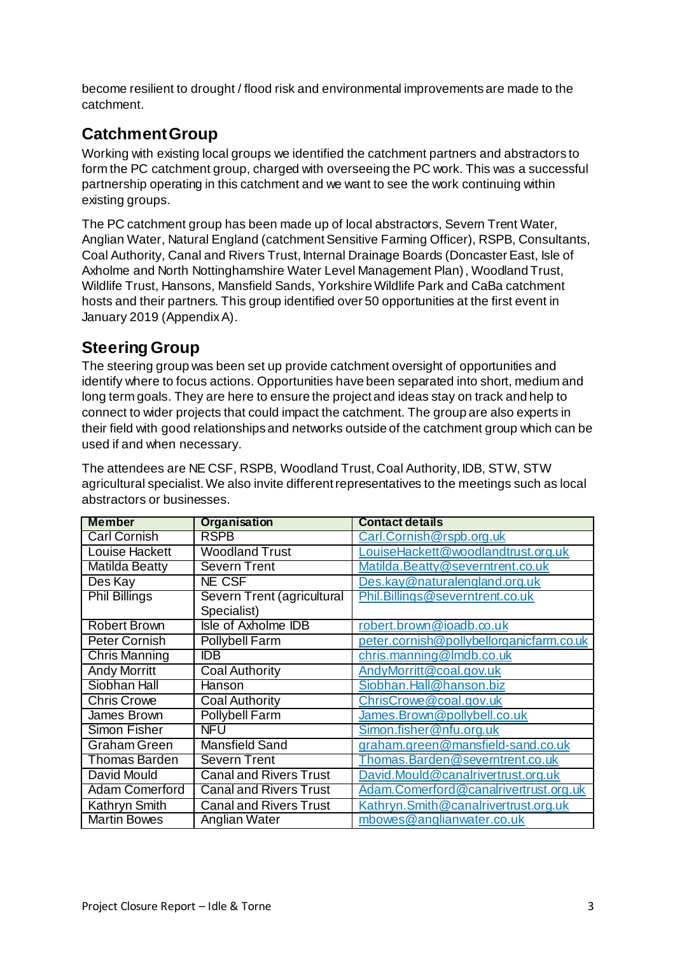become resilient to drought / flood risk and environmental improvements are made to the catchment.

## <span id="page-2-0"></span>**Catchment Group**

Working with existing local groups we identified the catchment partners and abstractors to form the PC catchment group, charged with overseeing the PC work. This was a successful partnership operating in this catchment and we want to see the work continuing within existing groups.

The PC catchment group has been made up of local abstractors, Severn Trent Water, Anglian Water, Natural England (catchment Sensitive Farming Officer), RSPB, Consultants, Coal Authority, Canal and Rivers Trust, Internal Drainage Boards (Doncaster East, Isle of Axholme and North Nottinghamshire Water Level Management Plan), Woodland Trust, Wildlife Trust, Hansons, Mansfield Sands, Yorkshire Wildlife Park and CaBa catchment hosts and their partners. This group identified over 50 opportunities at the first event in January 2019 (Appendix A).

### <span id="page-2-1"></span>**Steering Group**

The steering group was been set up provide catchment oversight of opportunities and identify where to focus actions. Opportunities have been separated into short, medium and long term goals. They are here to ensure the project and ideas stay on track and help to connect to wider projects that could impact the catchment. The group are also experts in their field with good relationships and networks outside of the catchment group which can be used if and when necessary.

The attendees are NE CSF, RSPB, Woodland Trust, Coal Authority, IDB, STW, STW agricultural specialist. We also invite different representatives to the meetings such as local abstractors or businesses.

| <b>Member</b>         | <b>Organisation</b>           | <b>Contact details</b>                   |
|-----------------------|-------------------------------|------------------------------------------|
| <b>Carl Cornish</b>   | <b>RSPB</b>                   | Carl.Cornish@rspb.org.uk                 |
| <b>Louise Hackett</b> | <b>Woodland Trust</b>         | LouiseHackett@woodlandtrust.org.uk       |
| <b>Matilda Beatty</b> | <b>Severn Trent</b>           | Matilda.Beatty@severntrent.co.uk         |
| Des Kay               | NE CSF                        | Des.kay@naturalengland.org.uk            |
| <b>Phil Billings</b>  | Severn Trent (agricultural    | Phil.Billings@severntrent.co.uk          |
|                       | Specialist)                   |                                          |
| <b>Robert Brown</b>   | Isle of Axholme IDB           | robert.brown@ioadb.co.uk                 |
| Peter Cornish         | Pollybell Farm                | peter.cornish@pollybellorganicfarm.co.uk |
| <b>Chris Manning</b>  | IDB.                          | chris.manning@lmdb.co.uk                 |
| <b>Andy Morritt</b>   | <b>Coal Authority</b>         | AndyMorritt@coal.gov.uk                  |
| Siobhan Hall          | Hanson                        | Siobhan.Hall@hanson.biz                  |
| <b>Chris Crowe</b>    | <b>Coal Authority</b>         | ChrisCrowe@coal.gov.uk                   |
| James Brown           | Pollybell Farm                | James.Brown@pollybell.co.uk              |
| <b>Simon Fisher</b>   | NFU                           | Simon.fisher@nfu.org.uk                  |
| <b>Graham Green</b>   | Mansfield Sand                | graham.green@mansfield-sand.co.uk        |
| <b>Thomas Barden</b>  | <b>Severn Trent</b>           | Thomas.Barden@severntrent.co.uk          |
| David Mould           | <b>Canal and Rivers Trust</b> | David.Mould@canalrivertrust.org.uk       |
| <b>Adam Comerford</b> | <b>Canal and Rivers Trust</b> | Adam.Comerford@canalrivertrust.org.uk    |
| Kathryn Smith         | <b>Canal and Rivers Trust</b> | Kathryn.Smith@canalrivertrust.org.uk     |
| <b>Martin Bowes</b>   | Anglian Water                 | mbowes@anglianwater.co.uk                |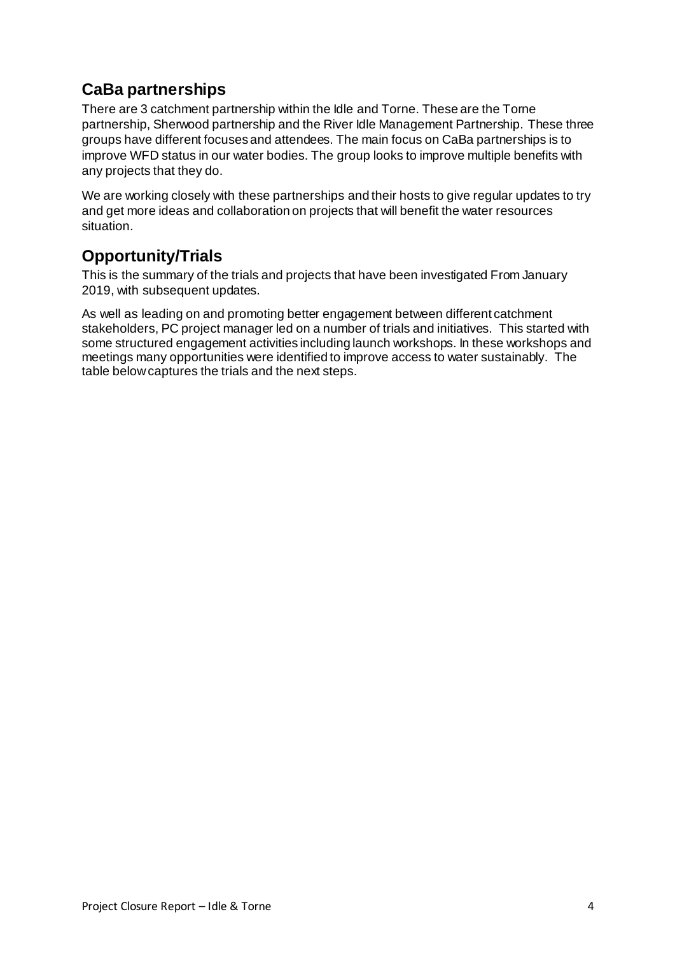### <span id="page-3-0"></span>**CaBa partnerships**

There are 3 catchment partnership within the Idle and Torne. These are the Torne partnership, Sherwood partnership and the River Idle Management Partnership. These three groups have different focuses and attendees. The main focus on CaBa partnerships is to improve WFD status in our water bodies. The group looks to improve multiple benefits with any projects that they do.

We are working closely with these partnerships and their hosts to give regular updates to try and get more ideas and collaboration on projects that will benefit the water resources situation.

### <span id="page-3-1"></span>**Opportunity/Trials**

This is the summary of the trials and projects that have been investigated From January 2019, with subsequent updates.

As well as leading on and promoting better engagement between different catchment stakeholders, PC project manager led on a number of trials and initiatives. This started with some structured engagement activities including launch workshops. In these workshops and meetings many opportunities were identified to improve access to water sustainably. The table below captures the trials and the next steps.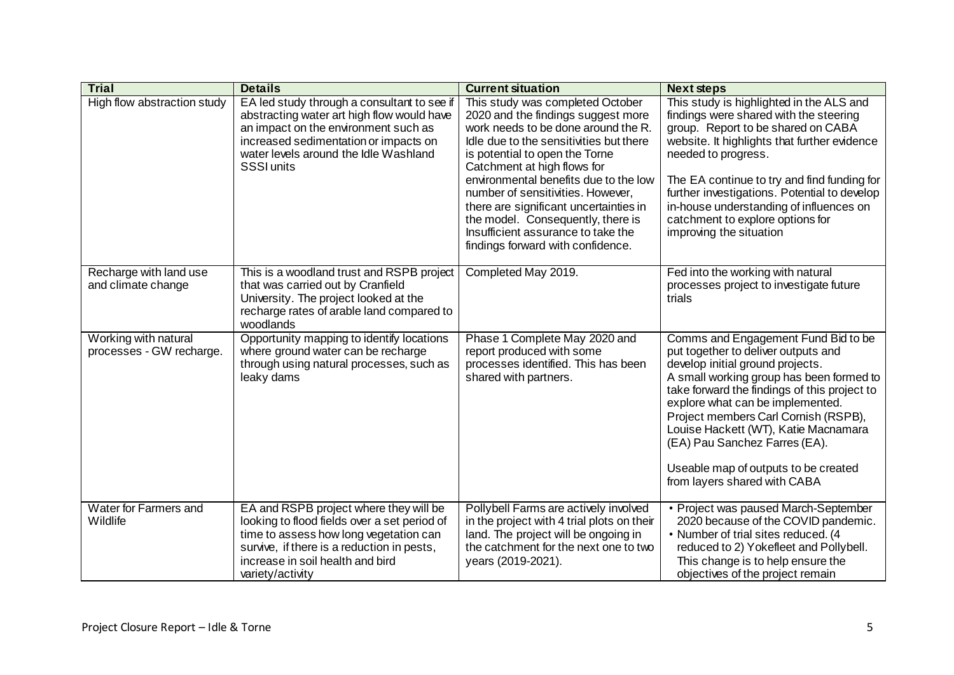| <b>Trial</b>                                     | <b>Details</b>                                                                                                                                                                                                                           | <b>Current situation</b>                                                                                                                                                                                                                                                                                                                                                                                                                                          | <b>Next steps</b>                                                                                                                                                                                                                                                                                                                                                                                                                       |
|--------------------------------------------------|------------------------------------------------------------------------------------------------------------------------------------------------------------------------------------------------------------------------------------------|-------------------------------------------------------------------------------------------------------------------------------------------------------------------------------------------------------------------------------------------------------------------------------------------------------------------------------------------------------------------------------------------------------------------------------------------------------------------|-----------------------------------------------------------------------------------------------------------------------------------------------------------------------------------------------------------------------------------------------------------------------------------------------------------------------------------------------------------------------------------------------------------------------------------------|
| High flow abstraction study                      | EA led study through a consultant to see if<br>abstracting water art high flow would have<br>an impact on the environment such as<br>increased sedimentation or impacts on<br>water levels around the Idle Washland<br><b>SSSI units</b> | This study was completed October<br>2020 and the findings suggest more<br>work needs to be done around the R.<br>Idle due to the sensitivities but there<br>is potential to open the Torne<br>Catchment at high flows for<br>environmental benefits due to the low<br>number of sensitivities. However,<br>there are significant uncertainties in<br>the model. Consequently, there is<br>Insufficient assurance to take the<br>findings forward with confidence. | This study is highlighted in the ALS and<br>findings were shared with the steering<br>group. Report to be shared on CABA<br>website. It highlights that further evidence<br>needed to progress.<br>The EA continue to try and find funding for<br>further investigations. Potential to develop<br>in-house understanding of influences on<br>catchment to explore options for<br>improving the situation                                |
| Recharge with land use<br>and climate change     | This is a woodland trust and RSPB project<br>that was carried out by Cranfield<br>University. The project looked at the<br>recharge rates of arable land compared to<br>woodlands                                                        | Completed May 2019.                                                                                                                                                                                                                                                                                                                                                                                                                                               | Fed into the working with natural<br>processes project to investigate future<br>trials                                                                                                                                                                                                                                                                                                                                                  |
| Working with natural<br>processes - GW recharge. | Opportunity mapping to identify locations<br>where ground water can be recharge<br>through using natural processes, such as<br>leaky dams                                                                                                | Phase 1 Complete May 2020 and<br>report produced with some<br>processes identified. This has been<br>shared with partners.                                                                                                                                                                                                                                                                                                                                        | Comms and Engagement Fund Bid to be<br>put together to deliver outputs and<br>develop initial ground projects.<br>A small working group has been formed to<br>take forward the findings of this project to<br>explore what can be implemented.<br>Project members Carl Cornish (RSPB),<br>Louise Hackett (WT), Katie Macnamara<br>(EA) Pau Sanchez Farres (EA).<br>Useable map of outputs to be created<br>from layers shared with CABA |
| Water for Farmers and<br>Wildlife                | EA and RSPB project where they will be<br>looking to flood fields over a set period of<br>time to assess how long vegetation can<br>survive, if there is a reduction in pests,<br>increase in soil health and bird<br>variety/activity   | Pollybell Farms are actively involved<br>in the project with 4 trial plots on their<br>land. The project will be ongoing in<br>the catchment for the next one to two<br>years (2019-2021).                                                                                                                                                                                                                                                                        | • Project was paused March-September<br>2020 because of the COVID pandemic.<br>• Number of trial sites reduced. (4<br>reduced to 2) Yokefleet and Pollybell.<br>This change is to help ensure the<br>objectives of the project remain                                                                                                                                                                                                   |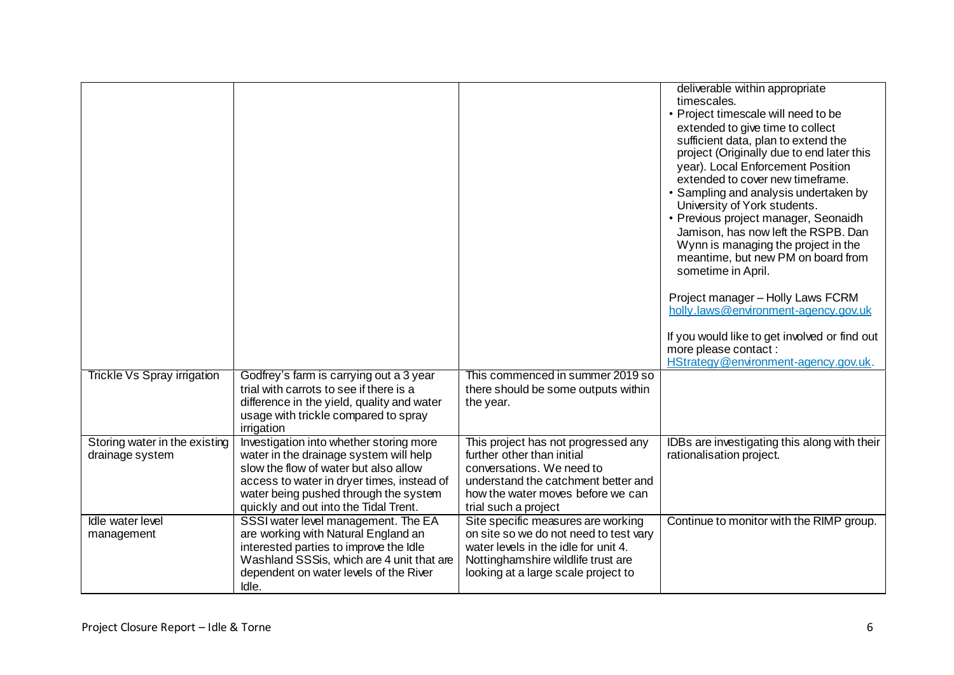|                                                  |                                                                                                                                                                                                                                                            |                                                                                                                                                                                                    | deliverable within appropriate<br>timescales.<br>• Project timescale will need to be<br>extended to give time to collect<br>sufficient data, plan to extend the<br>project (Originally due to end later this<br>year). Local Enforcement Position<br>extended to cover new timeframe.<br>• Sampling and analysis undertaken by<br>University of York students.<br>• Previous project manager, Seonaidh<br>Jamison, has now left the RSPB. Dan<br>Wynn is managing the project in the<br>meantime, but new PM on board from<br>sometime in April.<br>Project manager - Holly Laws FCRM<br>holly.laws@environment-agency.gov.uk<br>If you would like to get involved or find out<br>more please contact :<br>HStrategy@environment-agency.gov.uk. |
|--------------------------------------------------|------------------------------------------------------------------------------------------------------------------------------------------------------------------------------------------------------------------------------------------------------------|----------------------------------------------------------------------------------------------------------------------------------------------------------------------------------------------------|-------------------------------------------------------------------------------------------------------------------------------------------------------------------------------------------------------------------------------------------------------------------------------------------------------------------------------------------------------------------------------------------------------------------------------------------------------------------------------------------------------------------------------------------------------------------------------------------------------------------------------------------------------------------------------------------------------------------------------------------------|
| Trickle Vs Spray irrigation                      | Godfrey's farm is carrying out a 3 year<br>trial with carrots to see if there is a<br>difference in the yield, quality and water<br>usage with trickle compared to spray<br>irrigation                                                                     | This commenced in summer 2019 so<br>there should be some outputs within<br>the year.                                                                                                               |                                                                                                                                                                                                                                                                                                                                                                                                                                                                                                                                                                                                                                                                                                                                                 |
| Storing water in the existing<br>drainage system | Investigation into whether storing more<br>water in the drainage system will help<br>slow the flow of water but also allow<br>access to water in dryer times, instead of<br>water being pushed through the system<br>quickly and out into the Tidal Trent. | This project has not progressed any<br>further other than initial<br>conversations. We need to<br>understand the catchment better and<br>how the water moves before we can<br>trial such a project | IDBs are investigating this along with their<br>rationalisation project.                                                                                                                                                                                                                                                                                                                                                                                                                                                                                                                                                                                                                                                                        |
| Idle water level<br>management                   | SSSI water level management. The EA<br>are working with Natural England an<br>interested parties to improve the Idle<br>Washland SSSis, which are 4 unit that are<br>dependent on water levels of the River<br>Idle.                                       | Site specific measures are working<br>on site so we do not need to test vary<br>water levels in the idle for unit 4.<br>Nottinghamshire wildlife trust are<br>looking at a large scale project to  | Continue to monitor with the RIMP group.                                                                                                                                                                                                                                                                                                                                                                                                                                                                                                                                                                                                                                                                                                        |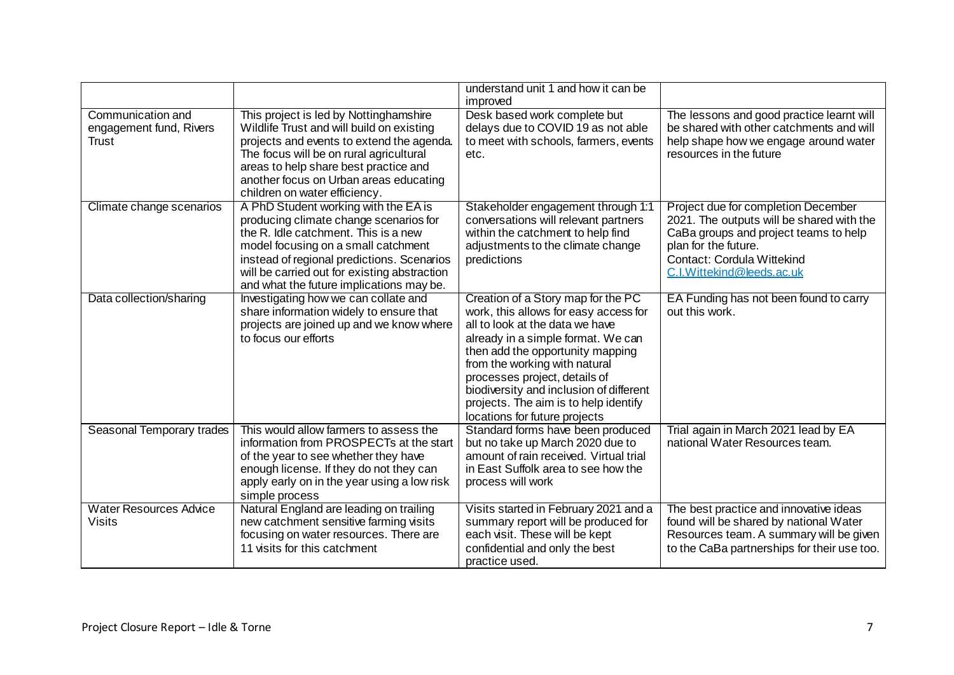|                                                       |                                                                                                                                                                                                                                                                                                         | understand unit 1 and how it can be<br>improved                                                                                                                                                                                                                                                                                                                                 |                                                                                                                                                                                                              |
|-------------------------------------------------------|---------------------------------------------------------------------------------------------------------------------------------------------------------------------------------------------------------------------------------------------------------------------------------------------------------|---------------------------------------------------------------------------------------------------------------------------------------------------------------------------------------------------------------------------------------------------------------------------------------------------------------------------------------------------------------------------------|--------------------------------------------------------------------------------------------------------------------------------------------------------------------------------------------------------------|
| Communication and<br>engagement fund, Rivers<br>Trust | This project is led by Nottinghamshire<br>Wildlife Trust and will build on existing<br>projects and events to extend the agenda.<br>The focus will be on rural agricultural<br>areas to help share best practice and<br>another focus on Urban areas educating<br>children on water efficiency.         | Desk based work complete but<br>delays due to COVID 19 as not able<br>to meet with schools, farmers, events<br>etc.                                                                                                                                                                                                                                                             | The lessons and good practice learnt will<br>be shared with other catchments and will<br>help shape how we engage around water<br>resources in the future                                                    |
| Climate change scenarios                              | A PhD Student working with the EA is<br>producing climate change scenarios for<br>the R. Idle catchment. This is a new<br>model focusing on a small catchment<br>instead of regional predictions. Scenarios<br>will be carried out for existing abstraction<br>and what the future implications may be. | Stakeholder engagement through 1:1<br>conversations will relevant partners<br>within the catchment to help find<br>adjustments to the climate change<br>predictions                                                                                                                                                                                                             | Project due for completion December<br>2021. The outputs will be shared with the<br>CaBa groups and project teams to help<br>plan for the future.<br>Contact: Cordula Wittekind<br>C.I.Wittekind@leeds.ac.uk |
| Data collection/sharing                               | Investigating how we can collate and<br>share information widely to ensure that<br>projects are joined up and we know where<br>to focus our efforts                                                                                                                                                     | Creation of a Story map for the PC<br>work, this allows for easy access for<br>all to look at the data we have<br>already in a simple format. We can<br>then add the opportunity mapping<br>from the working with natural<br>processes project, details of<br>biodiversity and inclusion of different<br>projects. The aim is to help identify<br>locations for future projects | EA Funding has not been found to carry<br>out this work.                                                                                                                                                     |
| Seasonal Temporary trades                             | This would allow farmers to assess the<br>information from PROSPECTs at the start<br>of the year to see whether they have<br>enough license. If they do not they can<br>apply early on in the year using a low risk<br>simple process                                                                   | Standard forms have been produced<br>but no take up March 2020 due to<br>amount of rain received. Virtual trial<br>in East Suffolk area to see how the<br>process will work                                                                                                                                                                                                     | Trial again in March 2021 lead by EA<br>national Water Resources team.                                                                                                                                       |
| <b>Water Resources Advice</b><br>Visits               | Natural England are leading on trailing<br>new catchment sensitive farming visits<br>focusing on water resources. There are<br>11 visits for this catchment                                                                                                                                             | Visits started in February 2021 and a<br>summary report will be produced for<br>each visit. These will be kept<br>confidential and only the best<br>practice used.                                                                                                                                                                                                              | The best practice and innovative ideas<br>found will be shared by national Water<br>Resources team. A summary will be given<br>to the CaBa partnerships for their use too.                                   |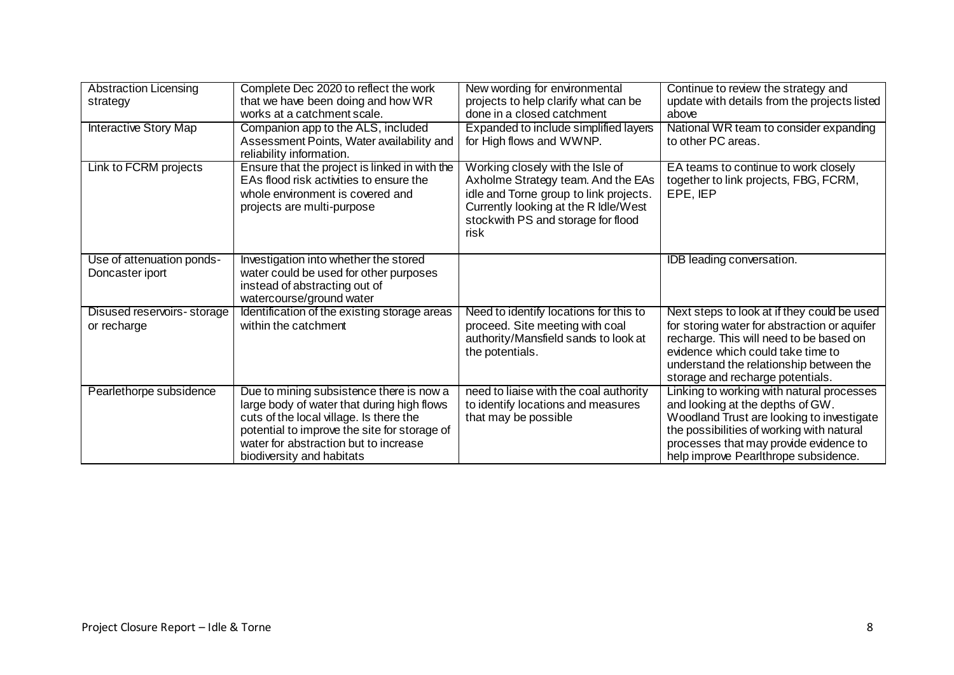| <b>Abstraction Licensing</b><br>strategy     | Complete Dec 2020 to reflect the work<br>that we have been doing and how WR<br>works at a catchment scale.                                                                                                                                              | New wording for environmental<br>projects to help clarify what can be<br>done in a closed catchment                                                                                                    | Continue to review the strategy and<br>update with details from the projects listed<br>above                                                                                                                                                               |
|----------------------------------------------|---------------------------------------------------------------------------------------------------------------------------------------------------------------------------------------------------------------------------------------------------------|--------------------------------------------------------------------------------------------------------------------------------------------------------------------------------------------------------|------------------------------------------------------------------------------------------------------------------------------------------------------------------------------------------------------------------------------------------------------------|
| <b>Interactive Story Map</b>                 | Companion app to the ALS, included<br>Assessment Points, Water availability and<br>reliability information.                                                                                                                                             | Expanded to include simplified layers<br>for High flows and WWNP.                                                                                                                                      | National WR team to consider expanding<br>to other PC areas.                                                                                                                                                                                               |
| Link to FCRM projects                        | Ensure that the project is linked in with the<br>EAs flood risk activities to ensure the<br>whole environment is covered and<br>projects are multi-purpose                                                                                              | Working closely with the Isle of<br>Axholme Strategy team. And the EAs<br>idle and Torne group to link projects.<br>Currently looking at the R Idle/West<br>stockwith PS and storage for flood<br>risk | EA teams to continue to work closely<br>together to link projects, FBG, FCRM,<br>EPE, IEP                                                                                                                                                                  |
| Use of attenuation ponds-<br>Doncaster iport | Investigation into whether the stored<br>water could be used for other purposes<br>instead of abstracting out of<br>watercourse/ground water                                                                                                            |                                                                                                                                                                                                        | <b>IDB</b> leading conversation.                                                                                                                                                                                                                           |
| Disused reservoirs-storage<br>or recharge    | Identification of the existing storage areas<br>within the catchment                                                                                                                                                                                    | Need to identify locations for this to<br>proceed. Site meeting with coal<br>authority/Mansfield sands to look at<br>the potentials.                                                                   | Next steps to look at if they could be used<br>for storing water for abstraction or aquifer<br>recharge. This will need to be based on<br>evidence which could take time to<br>understand the relationship between the<br>storage and recharge potentials. |
| Pearlethorpe subsidence                      | Due to mining subsistence there is now a<br>large body of water that during high flows<br>cuts of the local village. Is there the<br>potential to improve the site for storage of<br>water for abstraction but to increase<br>biodiversity and habitats | need to liaise with the coal authority<br>to identify locations and measures<br>that may be possible                                                                                                   | Linking to working with natural processes<br>and looking at the depths of GW.<br>Woodland Trust are looking to investigate<br>the possibilities of working with natural<br>processes that may provide evidence to<br>help improve Pearlthrope subsidence.  |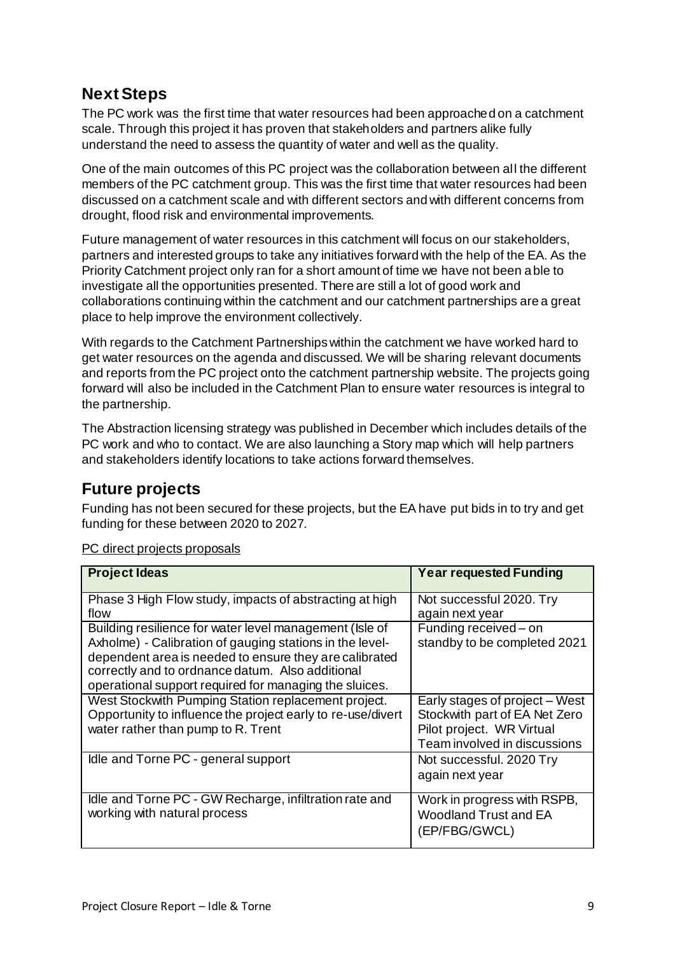### <span id="page-8-0"></span>**Next Steps**

The PC work was the first time that water resources had been approached on a catchment scale. Through this project it has proven that stakeholders and partners alike fully understand the need to assess the quantity of water and well as the quality.

One of the main outcomes of this PC project was the collaboration between all the different members of the PC catchment group. This was the first time that water resources had been discussed on a catchment scale and with different sectors and with different concerns from drought, flood risk and environmental improvements.

Future management of water resources in this catchment will focus on our stakeholders, partners and interested groups to take any initiatives forward with the help of the EA. As the Priority Catchment project only ran for a short amount of time we have not been able to investigate all the opportunities presented. There are still a lot of good work and collaborations continuing within the catchment and our catchment partnerships are a great place to help improve the environment collectively.

With regards to the Catchment Partnerships within the catchment we have worked hard to get water resources on the agenda and discussed. We will be sharing relevant documents and reports from the PC project onto the catchment partnership website. The projects going forward will also be included in the Catchment Plan to ensure water resources is integral to the partnership.

The Abstraction licensing strategy was published in December which includes details of the PC work and who to contact. We are also launching a Story map which will help partners and stakeholders identify locations to take actions forward themselves.

## <span id="page-8-1"></span>**Future projects**

Funding has not been secured for these projects, but the EA have put bids in to try and get funding for these between 2020 to 2027.

| <b>Project Ideas</b>                                                                                                                                                                                                                                                                        | <b>Year requested Funding</b>                                                                                                |
|---------------------------------------------------------------------------------------------------------------------------------------------------------------------------------------------------------------------------------------------------------------------------------------------|------------------------------------------------------------------------------------------------------------------------------|
| Phase 3 High Flow study, impacts of abstracting at high<br>flow                                                                                                                                                                                                                             | Not successful 2020. Try<br>again next year                                                                                  |
| Building resilience for water level management (Isle of<br>Axholme) - Calibration of gauging stations in the level-<br>dependent area is needed to ensure they are calibrated<br>correctly and to ordnance datum. Also additional<br>operational support required for managing the sluices. | Funding received - on<br>standby to be completed 2021                                                                        |
| West Stockwith Pumping Station replacement project.<br>Opportunity to influence the project early to re-use/divert<br>water rather than pump to R. Trent                                                                                                                                    | Early stages of project - West<br>Stockwith part of EA Net Zero<br>Pilot project. WR Virtual<br>Team involved in discussions |
| Idle and Torne PC - general support                                                                                                                                                                                                                                                         | Not successful. 2020 Try<br>again next year                                                                                  |
| Idle and Torne PC - GW Recharge, infiltration rate and<br>working with natural process                                                                                                                                                                                                      | Work in progress with RSPB,<br><b>Woodland Trust and EA</b><br>(EP/FBG/GWCL)                                                 |

PC direct projects proposals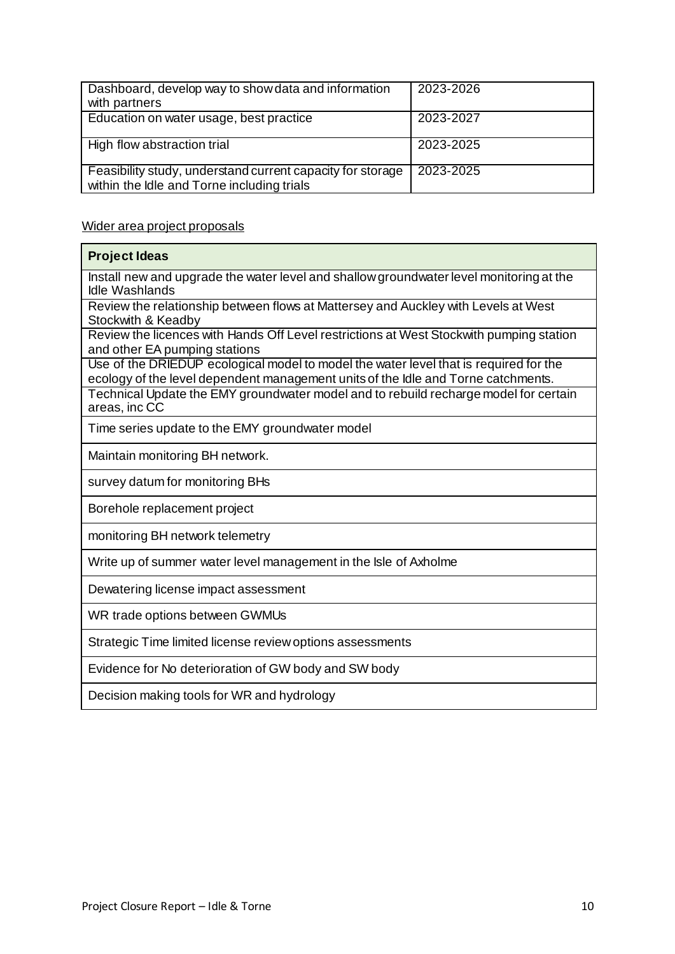| Dashboard, develop way to show data and information<br>with partners                                     | 2023-2026 |
|----------------------------------------------------------------------------------------------------------|-----------|
| Education on water usage, best practice                                                                  | 2023-2027 |
| High flow abstraction trial                                                                              | 2023-2025 |
| Feasibility study, understand current capacity for storage<br>within the Idle and Torne including trials | 2023-2025 |

#### Wider area project proposals

| <b>Project Ideas</b>                                                                                                                                                       |
|----------------------------------------------------------------------------------------------------------------------------------------------------------------------------|
| Install new and upgrade the water level and shallow groundwater level monitoring at the<br><b>Idle Washlands</b>                                                           |
| Review the relationship between flows at Mattersey and Auckley with Levels at West<br>Stockwith & Keadby                                                                   |
| Review the licences with Hands Off Level restrictions at West Stockwith pumping station<br>and other EA pumping stations                                                   |
| Use of the DRIEDUP ecological model to model the water level that is required for the<br>ecology of the level dependent management units of the Idle and Torne catchments. |
| Technical Update the EMY groundwater model and to rebuild recharge model for certain<br>areas, inc CC                                                                      |
| Time series update to the EMY groundwater model                                                                                                                            |
| Maintain monitoring BH network.                                                                                                                                            |
| survey datum for monitoring BHs                                                                                                                                            |
| Borehole replacement project                                                                                                                                               |
| monitoring BH network telemetry                                                                                                                                            |
| Write up of summer water level management in the Isle of Axholme                                                                                                           |
| Dewatering license impact assessment                                                                                                                                       |
| WR trade options between GWMUs                                                                                                                                             |
| Strategic Time limited license review options assessments                                                                                                                  |
| Evidence for No deterioration of GW body and SW body                                                                                                                       |
| Decision making tools for WR and hydrology                                                                                                                                 |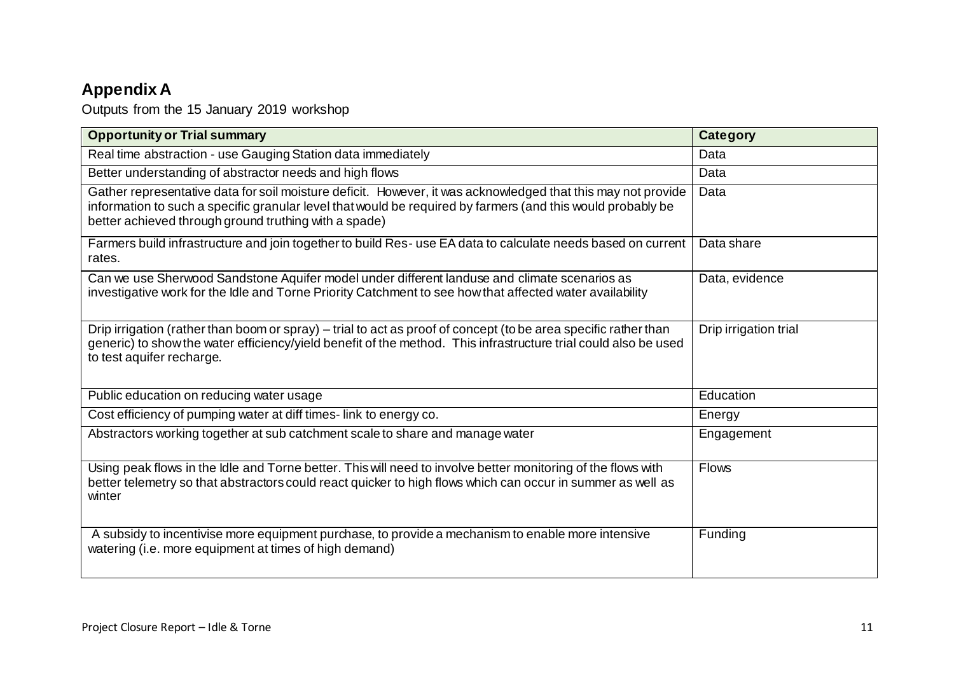# **Appendix A**

Outputs from the 15 January 2019 workshop

<span id="page-10-0"></span>

| <b>Opportunity or Trial summary</b>                                                                                                                                                                                                                                                  | <b>Category</b>       |
|--------------------------------------------------------------------------------------------------------------------------------------------------------------------------------------------------------------------------------------------------------------------------------------|-----------------------|
| Real time abstraction - use Gauging Station data immediately                                                                                                                                                                                                                         | Data                  |
| Better understanding of abstractor needs and high flows                                                                                                                                                                                                                              | Data                  |
| Gather representative data for soil moisture deficit. However, it was acknowledged that this may not provide<br>information to such a specific granular level that would be required by farmers (and this would probably be<br>better achieved through ground truthing with a spade) | Data                  |
| Farmers build infrastructure and join together to build Res-use EA data to calculate needs based on current<br>rates.                                                                                                                                                                | Data share            |
| Can we use Sherwood Sandstone Aquifer model under different landuse and climate scenarios as<br>investigative work for the Idle and Torne Priority Catchment to see how that affected water availability                                                                             | Data, evidence        |
| Drip irrigation (rather than boom or spray) – trial to act as proof of concept (to be area specific rather than<br>generic) to show the water efficiency/yield benefit of the method. This infrastructure trial could also be used<br>to test aquifer recharge.                      | Drip irrigation trial |
| Public education on reducing water usage                                                                                                                                                                                                                                             | Education             |
| Cost efficiency of pumping water at diff times-link to energy co.                                                                                                                                                                                                                    | Energy                |
| Abstractors working together at sub catchment scale to share and manage water                                                                                                                                                                                                        | Engagement            |
| Using peak flows in the Idle and Torne better. This will need to involve better monitoring of the flows with<br>better telemetry so that abstractors could react quicker to high flows which can occur in summer as well as<br>winter                                                | <b>Flows</b>          |
| A subsidy to incentivise more equipment purchase, to provide a mechanism to enable more intensive<br>watering (i.e. more equipment at times of high demand)                                                                                                                          | Funding               |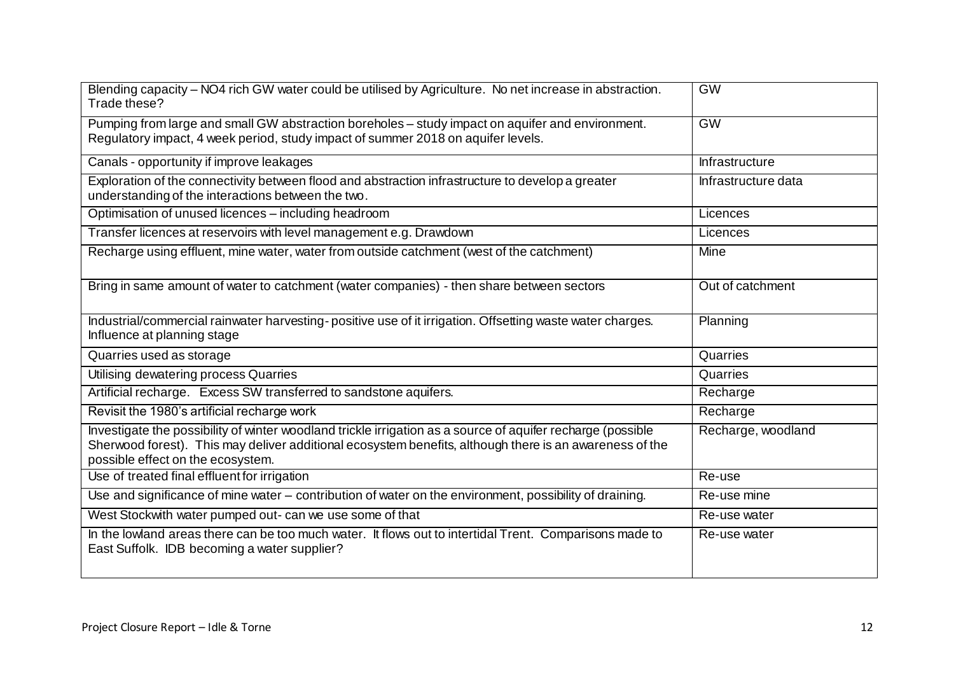| Blending capacity - NO4 rich GW water could be utilised by Agriculture. No net increase in abstraction.<br>Trade these?                                                                                                                                     | GW                    |
|-------------------------------------------------------------------------------------------------------------------------------------------------------------------------------------------------------------------------------------------------------------|-----------------------|
| Pumping from large and small GW abstraction boreholes - study impact on aquifer and environment.<br>Regulatory impact, 4 week period, study impact of summer 2018 on aquifer levels.                                                                        | <b>GW</b>             |
| Canals - opportunity if improve leakages                                                                                                                                                                                                                    | <b>Infrastructure</b> |
| Exploration of the connectivity between flood and abstraction infrastructure to develop a greater<br>understanding of the interactions between the two.                                                                                                     | Infrastructure data   |
| Optimisation of unused licences - including headroom                                                                                                                                                                                                        | Licences              |
| Transfer licences at reservoirs with level management e.g. Drawdown                                                                                                                                                                                         | Licences              |
| Recharge using effluent, mine water, water from outside catchment (west of the catchment)                                                                                                                                                                   | Mine                  |
| Bring in same amount of water to catchment (water companies) - then share between sectors                                                                                                                                                                   | Out of catchment      |
| Industrial/commercial rainwater harvesting-positive use of it irrigation. Offsetting waste water charges.<br>Influence at planning stage                                                                                                                    | Planning              |
| Quarries used as storage                                                                                                                                                                                                                                    | Quarries              |
| Utilising dewatering process Quarries                                                                                                                                                                                                                       | Quarries              |
| Artificial recharge. Excess SW transferred to sandstone aquifers.                                                                                                                                                                                           | Recharge              |
| Revisit the 1980's artificial recharge work                                                                                                                                                                                                                 | Recharge              |
| Investigate the possibility of winter woodland trickle irrigation as a source of aquifer recharge (possible<br>Sherwood forest). This may deliver additional ecosystem benefits, although there is an awareness of the<br>possible effect on the ecosystem. | Recharge, woodland    |
| Use of treated final effluent for irrigation                                                                                                                                                                                                                | Re-use                |
| Use and significance of mine water - contribution of water on the environment, possibility of draining.                                                                                                                                                     | Re-use mine           |
| West Stockwith water pumped out- can we use some of that                                                                                                                                                                                                    | Re-use water          |
| In the lowland areas there can be too much water. It flows out to intertidal Trent. Comparisons made to<br>East Suffolk. IDB becoming a water supplier?                                                                                                     | Re-use water          |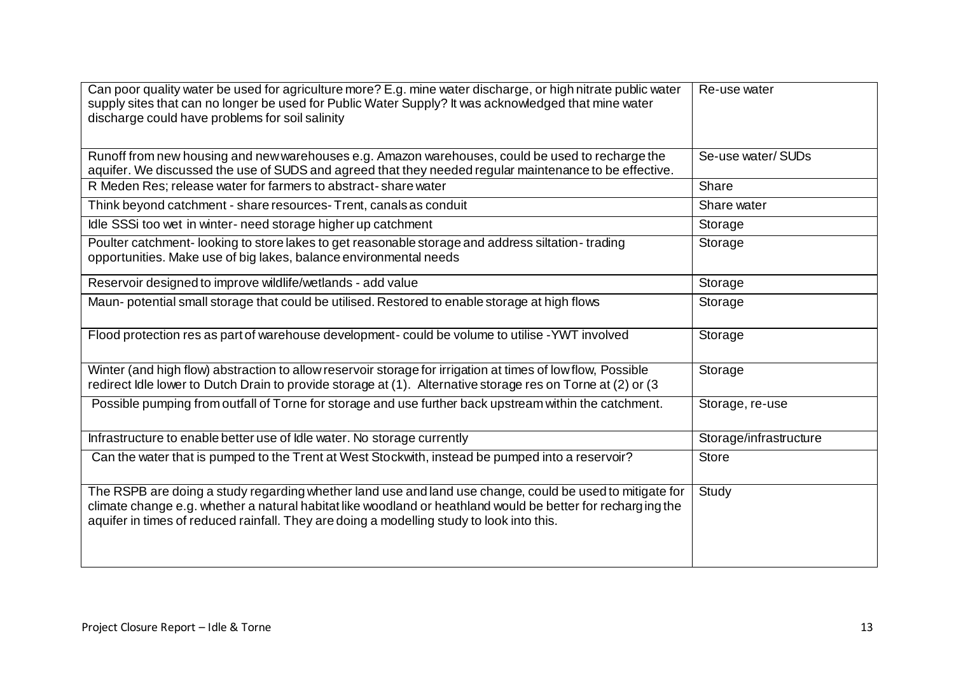| Can poor quality water be used for agriculture more? E.g. mine water discharge, or high nitrate public water<br>supply sites that can no longer be used for Public Water Supply? It was acknowledged that mine water<br>discharge could have problems for soil salinity                                              | Re-use water           |
|----------------------------------------------------------------------------------------------------------------------------------------------------------------------------------------------------------------------------------------------------------------------------------------------------------------------|------------------------|
| Runoff from new housing and new warehouses e.g. Amazon warehouses, could be used to recharge the<br>aquifer. We discussed the use of SUDS and agreed that they needed regular maintenance to be effective.                                                                                                           | Se-use water/SUDs      |
| R Meden Res; release water for farmers to abstract-share water                                                                                                                                                                                                                                                       | Share                  |
| Think beyond catchment - share resources-Trent, canals as conduit                                                                                                                                                                                                                                                    | Share water            |
| Idle SSSi too wet in winter- need storage higher up catchment                                                                                                                                                                                                                                                        | Storage                |
| Poulter catchment-looking to store lakes to get reasonable storage and address siltation-trading<br>opportunities. Make use of big lakes, balance environmental needs                                                                                                                                                | Storage                |
| Reservoir designed to improve wildlife/wetlands - add value                                                                                                                                                                                                                                                          | Storage                |
| Maun-potential small storage that could be utilised. Restored to enable storage at high flows                                                                                                                                                                                                                        | Storage                |
| Flood protection res as part of warehouse development- could be volume to utilise - YWT involved                                                                                                                                                                                                                     | Storage                |
| Winter (and high flow) abstraction to allow reservoir storage for irrigation at times of low flow, Possible<br>redirect Idle lower to Dutch Drain to provide storage at (1). Alternative storage res on Torne at (2) or (3                                                                                           | Storage                |
| Possible pumping from outfall of Torne for storage and use further back upstream within the catchment.                                                                                                                                                                                                               | Storage, re-use        |
| Infrastructure to enable better use of Idle water. No storage currently                                                                                                                                                                                                                                              | Storage/infrastructure |
| Can the water that is pumped to the Trent at West Stockwith, instead be pumped into a reservoir?                                                                                                                                                                                                                     | <b>Store</b>           |
| The RSPB are doing a study regarding whether land use and land use change, could be used to mitigate for<br>climate change e.g. whether a natural habitat like woodland or heathland would be better for recharging the<br>aquifer in times of reduced rainfall. They are doing a modelling study to look into this. | Study                  |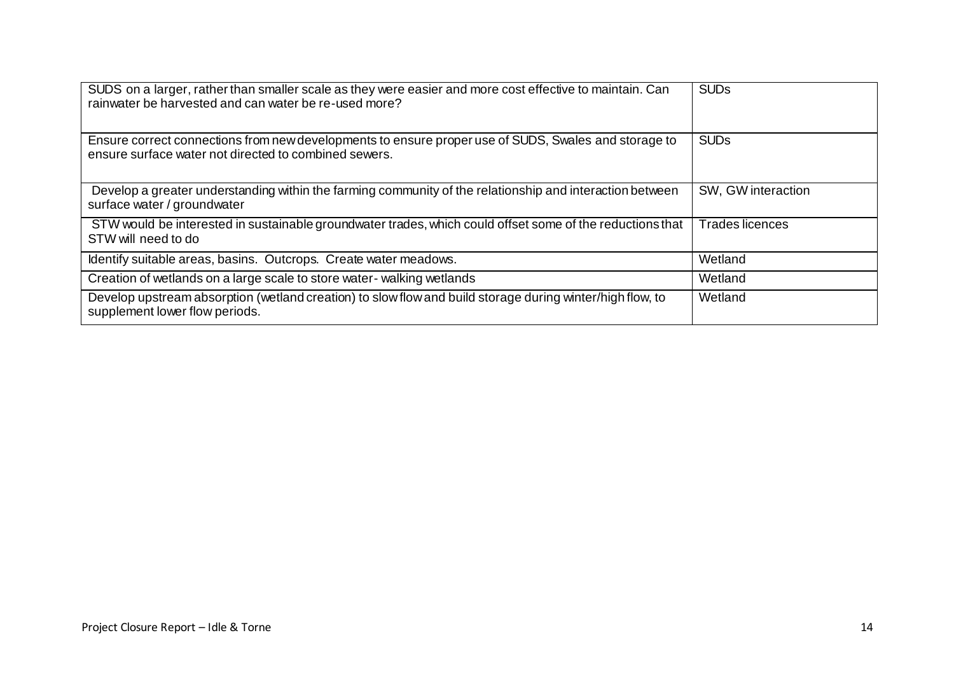| SUDS on a larger, rather than smaller scale as they were easier and more cost effective to maintain. Can<br>rainwater be harvested and can water be re-used more? | <b>SUDs</b>            |
|-------------------------------------------------------------------------------------------------------------------------------------------------------------------|------------------------|
| Ensure correct connections from new developments to ensure proper use of SUDS, Swales and storage to<br>ensure surface water not directed to combined sewers.     | <b>SUD<sub>s</sub></b> |
| Develop a greater understanding within the farming community of the relationship and interaction between<br>surface water / groundwater                           | SW, GW interaction     |
| STW would be interested in sustainable groundwater trades, which could offset some of the reductions that<br>STW will need to do                                  | Trades licences        |
| Identify suitable areas, basins. Outcrops. Create water meadows.                                                                                                  | Wetland                |
| Creation of wetlands on a large scale to store water-walking wetlands                                                                                             | Wetland                |
| Develop upstream absorption (wetland creation) to slow flow and build storage during winter/high flow, to<br>supplement lower flow periods.                       | Wetland                |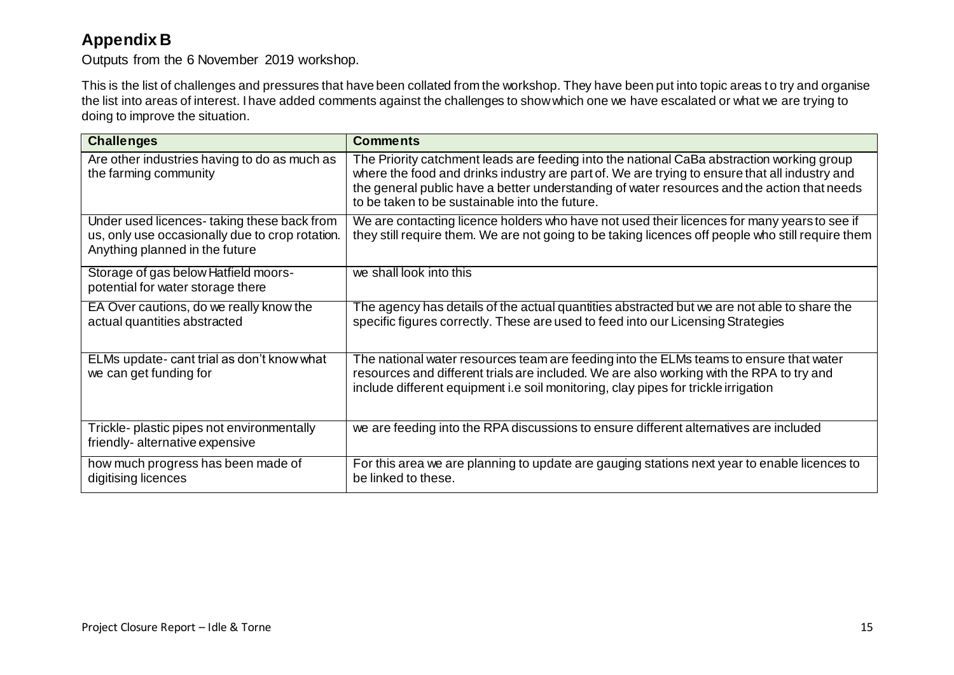### **Appendix B**

Outputs from the 6 November 2019 workshop.

This is the list of challenges and pressures that have been collated from the workshop. They have been put into topic areas to try and organise the list into areas of interest. I have added comments against the challenges to show which one we have escalated or what we are trying to doing to improve the situation.

<span id="page-14-0"></span>

| <b>Challenges</b>                                                                                                               | <b>Comments</b>                                                                                                                                                                                                                                                                                                                             |
|---------------------------------------------------------------------------------------------------------------------------------|---------------------------------------------------------------------------------------------------------------------------------------------------------------------------------------------------------------------------------------------------------------------------------------------------------------------------------------------|
| Are other industries having to do as much as<br>the farming community                                                           | The Priority catchment leads are feeding into the national CaBa abstraction working group<br>where the food and drinks industry are part of. We are trying to ensure that all industry and<br>the general public have a better understanding of water resources and the action that needs<br>to be taken to be sustainable into the future. |
| Under used licences-taking these back from<br>us, only use occasionally due to crop rotation.<br>Anything planned in the future | We are contacting licence holders who have not used their licences for many years to see if<br>they still require them. We are not going to be taking licences off people who still require them                                                                                                                                            |
| Storage of gas below Hatfield moors-<br>potential for water storage there                                                       | we shall look into this                                                                                                                                                                                                                                                                                                                     |
| EA Over cautions, do we really know the<br>actual quantities abstracted                                                         | The agency has details of the actual quantities abstracted but we are not able to share the<br>specific figures correctly. These are used to feed into our Licensing Strategies                                                                                                                                                             |
| ELMs update- cant trial as don't know what<br>we can get funding for                                                            | The national water resources team are feeding into the ELMs teams to ensure that water<br>resources and different trials are included. We are also working with the RPA to try and<br>include different equipment i.e soil monitoring, clay pipes for trickle irrigation                                                                    |
| Trickle- plastic pipes not environmentally<br>friendly-alternative expensive                                                    | we are feeding into the RPA discussions to ensure different alternatives are included                                                                                                                                                                                                                                                       |
| how much progress has been made of<br>digitising licences                                                                       | For this area we are planning to update are gauging stations next year to enable licences to<br>be linked to these.                                                                                                                                                                                                                         |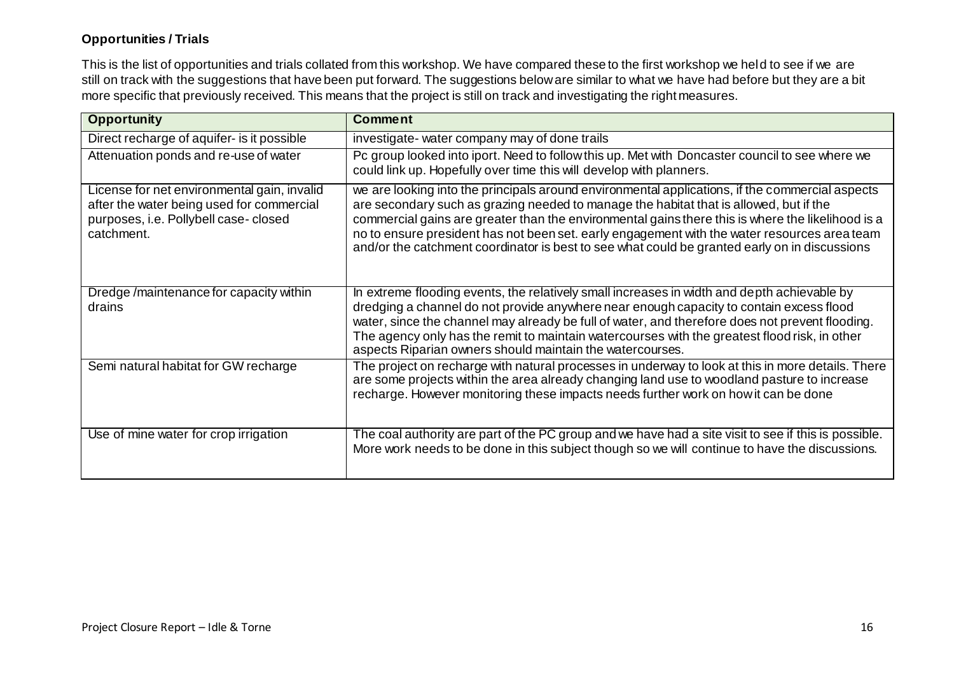#### **Opportunities / Trials**

This is the list of opportunities and trials collated from this workshop. We have compared these to the first workshop we held to see if we are still on track with the suggestions that have been put forward. The suggestions below are similar to what we have had before but they are a bit more specific that previously received. This means that the project is still on track and investigating the right measures.

| <b>Opportunity</b>                                                                                                                             | <b>Comment</b>                                                                                                                                                                                                                                                                                                                                                                                                                                                                                  |
|------------------------------------------------------------------------------------------------------------------------------------------------|-------------------------------------------------------------------------------------------------------------------------------------------------------------------------------------------------------------------------------------------------------------------------------------------------------------------------------------------------------------------------------------------------------------------------------------------------------------------------------------------------|
| Direct recharge of aquifer- is it possible                                                                                                     | investigate- water company may of done trails                                                                                                                                                                                                                                                                                                                                                                                                                                                   |
| Attenuation ponds and re-use of water                                                                                                          | Pc group looked into iport. Need to follow this up. Met with Doncaster council to see where we<br>could link up. Hopefully over time this will develop with planners.                                                                                                                                                                                                                                                                                                                           |
| License for net environmental gain, invalid<br>after the water being used for commercial<br>purposes, i.e. Pollybell case-closed<br>catchment. | we are looking into the principals around environmental applications, if the commercial aspects<br>are secondary such as grazing needed to manage the habitat that is allowed, but if the<br>commercial gains are greater than the environmental gains there this is where the likelihood is a<br>no to ensure president has not been set. early engagement with the water resources area team<br>and/or the catchment coordinator is best to see what could be granted early on in discussions |
| Dredge/maintenance for capacity within<br>drains                                                                                               | In extreme flooding events, the relatively small increases in width and depth achievable by<br>dredging a channel do not provide anywhere near enough capacity to contain excess flood<br>water, since the channel may already be full of water, and therefore does not prevent flooding.<br>The agency only has the remit to maintain watercourses with the greatest flood risk, in other<br>aspects Riparian owners should maintain the watercourses.                                         |
| Semi natural habitat for GW recharge                                                                                                           | The project on recharge with natural processes in underway to look at this in more details. There<br>are some projects within the area already changing land use to woodland pasture to increase<br>recharge. However monitoring these impacts needs further work on how it can be done                                                                                                                                                                                                         |
| Use of mine water for crop irrigation                                                                                                          | The coal authority are part of the PC group and we have had a site visit to see if this is possible.<br>More work needs to be done in this subject though so we will continue to have the discussions.                                                                                                                                                                                                                                                                                          |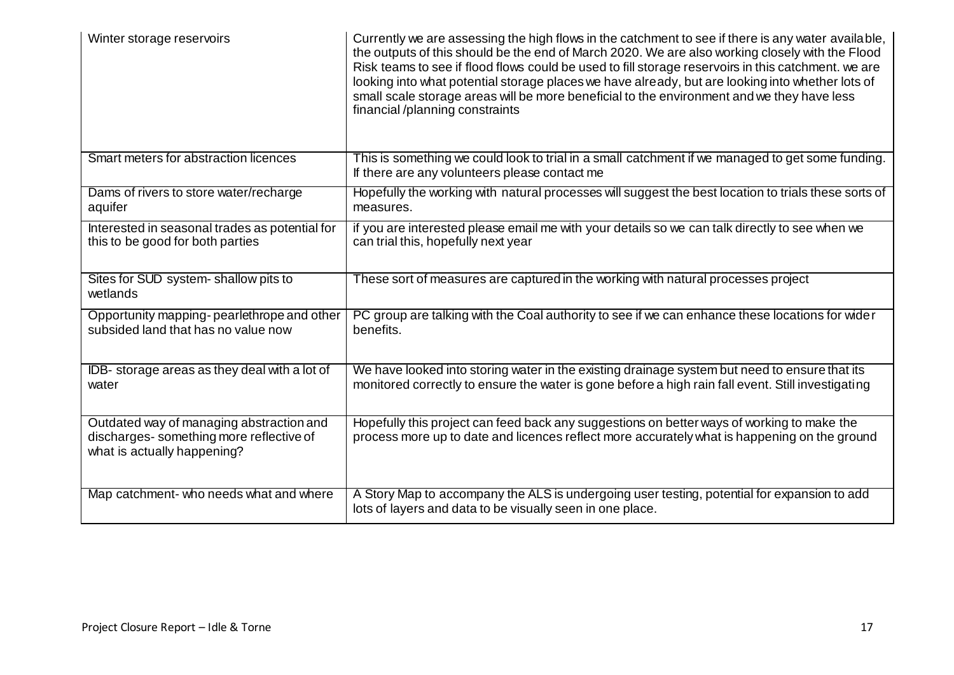| Winter storage reservoirs                                                                                          | Currently we are assessing the high flows in the catchment to see if there is any water available,<br>the outputs of this should be the end of March 2020. We are also working closely with the Flood<br>Risk teams to see if flood flows could be used to fill storage reservoirs in this catchment. we are<br>looking into what potential storage places we have already, but are looking into whether lots of<br>small scale storage areas will be more beneficial to the environment and we they have less<br>financial/planning constraints |
|--------------------------------------------------------------------------------------------------------------------|--------------------------------------------------------------------------------------------------------------------------------------------------------------------------------------------------------------------------------------------------------------------------------------------------------------------------------------------------------------------------------------------------------------------------------------------------------------------------------------------------------------------------------------------------|
| Smart meters for abstraction licences                                                                              | This is something we could look to trial in a small catchment if we managed to get some funding.<br>If there are any volunteers please contact me                                                                                                                                                                                                                                                                                                                                                                                                |
| Dams of rivers to store water/recharge<br>aquifer                                                                  | Hopefully the working with natural processes will suggest the best location to trials these sorts of<br>measures.                                                                                                                                                                                                                                                                                                                                                                                                                                |
| Interested in seasonal trades as potential for<br>this to be good for both parties                                 | if you are interested please email me with your details so we can talk directly to see when we<br>can trial this, hopefully next year                                                                                                                                                                                                                                                                                                                                                                                                            |
| Sites for SUD system- shallow pits to<br>wetlands                                                                  | These sort of measures are captured in the working with natural processes project                                                                                                                                                                                                                                                                                                                                                                                                                                                                |
| Opportunity mapping-pearlethrope and other<br>subsided land that has no value now                                  | PC group are talking with the Coal authority to see if we can enhance these locations for wide r<br>benefits.                                                                                                                                                                                                                                                                                                                                                                                                                                    |
| IDB- storage areas as they deal with a lot of<br>water                                                             | We have looked into storing water in the existing drainage system but need to ensure that its<br>monitored correctly to ensure the water is gone before a high rain fall event. Still investigating                                                                                                                                                                                                                                                                                                                                              |
| Outdated way of managing abstraction and<br>discharges-something more reflective of<br>what is actually happening? | Hopefully this project can feed back any suggestions on better ways of working to make the<br>process more up to date and licences reflect more accurately what is happening on the ground                                                                                                                                                                                                                                                                                                                                                       |
| Map catchment- who needs what and where                                                                            | A Story Map to accompany the ALS is undergoing user testing, potential for expansion to add<br>lots of layers and data to be visually seen in one place.                                                                                                                                                                                                                                                                                                                                                                                         |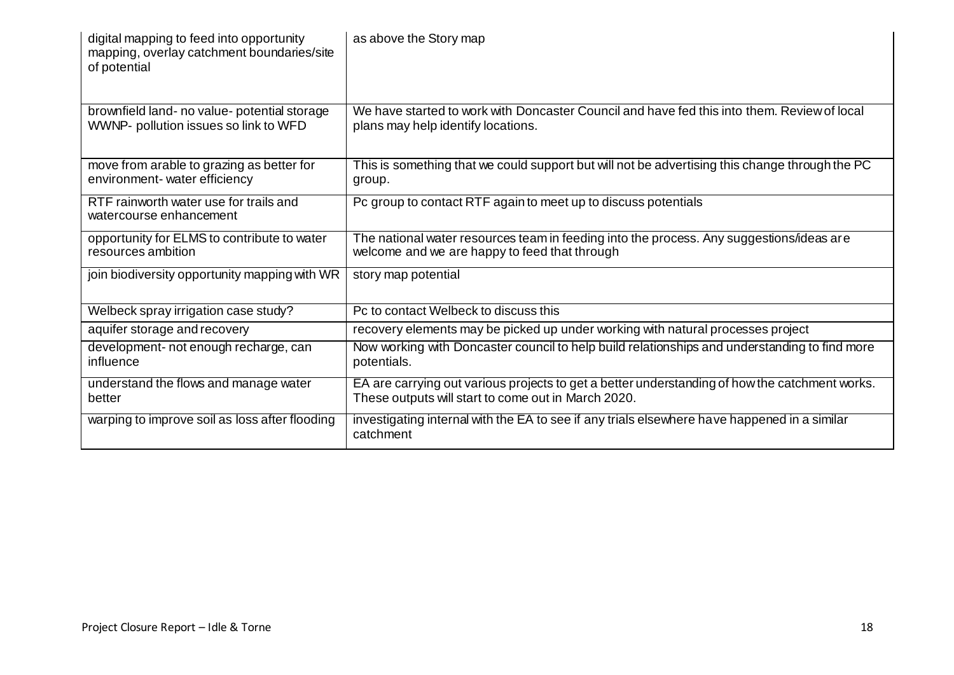| digital mapping to feed into opportunity<br>mapping, overlay catchment boundaries/site<br>of potential | as above the Story map                                                                                                                                |
|--------------------------------------------------------------------------------------------------------|-------------------------------------------------------------------------------------------------------------------------------------------------------|
| brownfield land- no value- potential storage<br>WWNP- pollution issues so link to WFD                  | We have started to work with Doncaster Council and have fed this into them. Review of local<br>plans may help identify locations.                     |
| move from arable to grazing as better for<br>environment- water efficiency                             | This is something that we could support but will not be advertising this change through the PC<br>group.                                              |
| RTF rainworth water use for trails and<br>watercourse enhancement                                      | Pc group to contact RTF again to meet up to discuss potentials                                                                                        |
| opportunity for ELMS to contribute to water<br>resources ambition                                      | The national water resources team in feeding into the process. Any suggestions/ideas are<br>welcome and we are happy to feed that through             |
| join biodiversity opportunity mapping with WR                                                          | story map potential                                                                                                                                   |
| Welbeck spray irrigation case study?                                                                   | Pc to contact Welbeck to discuss this                                                                                                                 |
| aquifer storage and recovery                                                                           | recovery elements may be picked up under working with natural processes project                                                                       |
| development- not enough recharge, can<br>influence                                                     | Now working with Doncaster council to help build relationships and understanding to find more<br>potentials.                                          |
| understand the flows and manage water<br>better                                                        | EA are carrying out various projects to get a better understanding of how the catchment works.<br>These outputs will start to come out in March 2020. |
| warping to improve soil as loss after flooding                                                         | investigating internal with the EA to see if any trials elsewhere have happened in a similar<br>catchment                                             |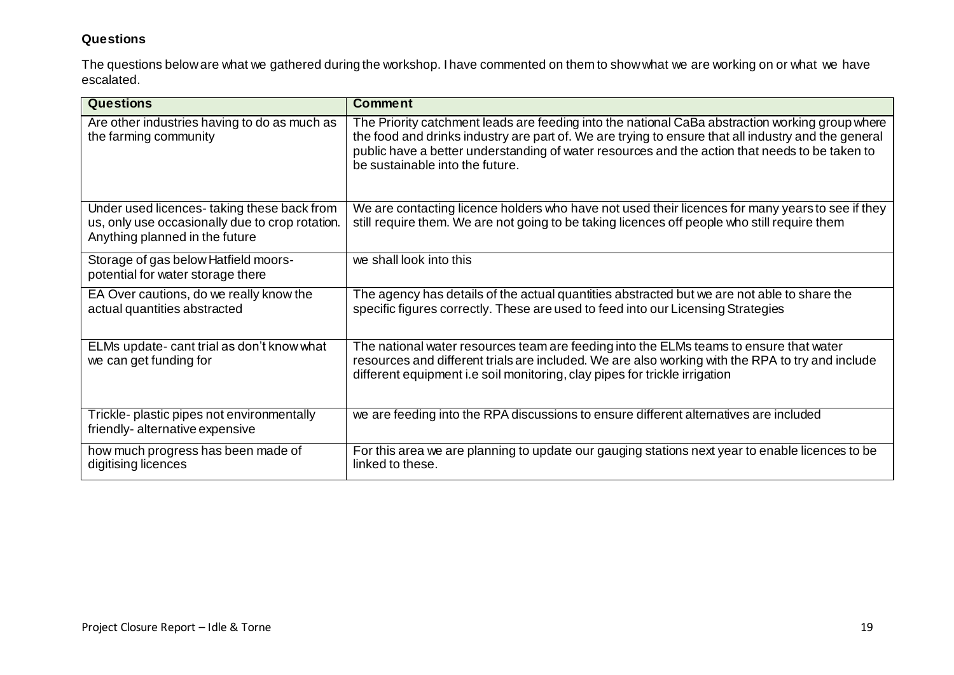#### **Questions**

The questions below are what we gathered during the workshop. I have commented on them to show what we are working on or what we have escalated.

| <b>Questions</b>                                                                                                                | <b>Comment</b>                                                                                                                                                                                                                                                                                                                              |
|---------------------------------------------------------------------------------------------------------------------------------|---------------------------------------------------------------------------------------------------------------------------------------------------------------------------------------------------------------------------------------------------------------------------------------------------------------------------------------------|
| Are other industries having to do as much as<br>the farming community                                                           | The Priority catchment leads are feeding into the national CaBa abstraction working group where<br>the food and drinks industry are part of. We are trying to ensure that all industry and the general<br>public have a better understanding of water resources and the action that needs to be taken to<br>be sustainable into the future. |
| Under used licences-taking these back from<br>us, only use occasionally due to crop rotation.<br>Anything planned in the future | We are contacting licence holders who have not used their licences for many years to see if they<br>still require them. We are not going to be taking licences off people who still require them                                                                                                                                            |
| Storage of gas below Hatfield moors-<br>potential for water storage there                                                       | we shall look into this                                                                                                                                                                                                                                                                                                                     |
| EA Over cautions, do we really know the<br>actual quantities abstracted                                                         | The agency has details of the actual quantities abstracted but we are not able to share the<br>specific figures correctly. These are used to feed into our Licensing Strategies                                                                                                                                                             |
| ELMs update- cant trial as don't know what<br>we can get funding for                                                            | The national water resources team are feeding into the ELMs teams to ensure that water<br>resources and different trials are included. We are also working with the RPA to try and include<br>different equipment i.e soil monitoring, clay pipes for trickle irrigation                                                                    |
| Trickle- plastic pipes not environmentally<br>friendly-alternative expensive                                                    | we are feeding into the RPA discussions to ensure different alternatives are included                                                                                                                                                                                                                                                       |
| how much progress has been made of<br>digitising licences                                                                       | For this area we are planning to update our gauging stations next year to enable licences to be<br>linked to these.                                                                                                                                                                                                                         |